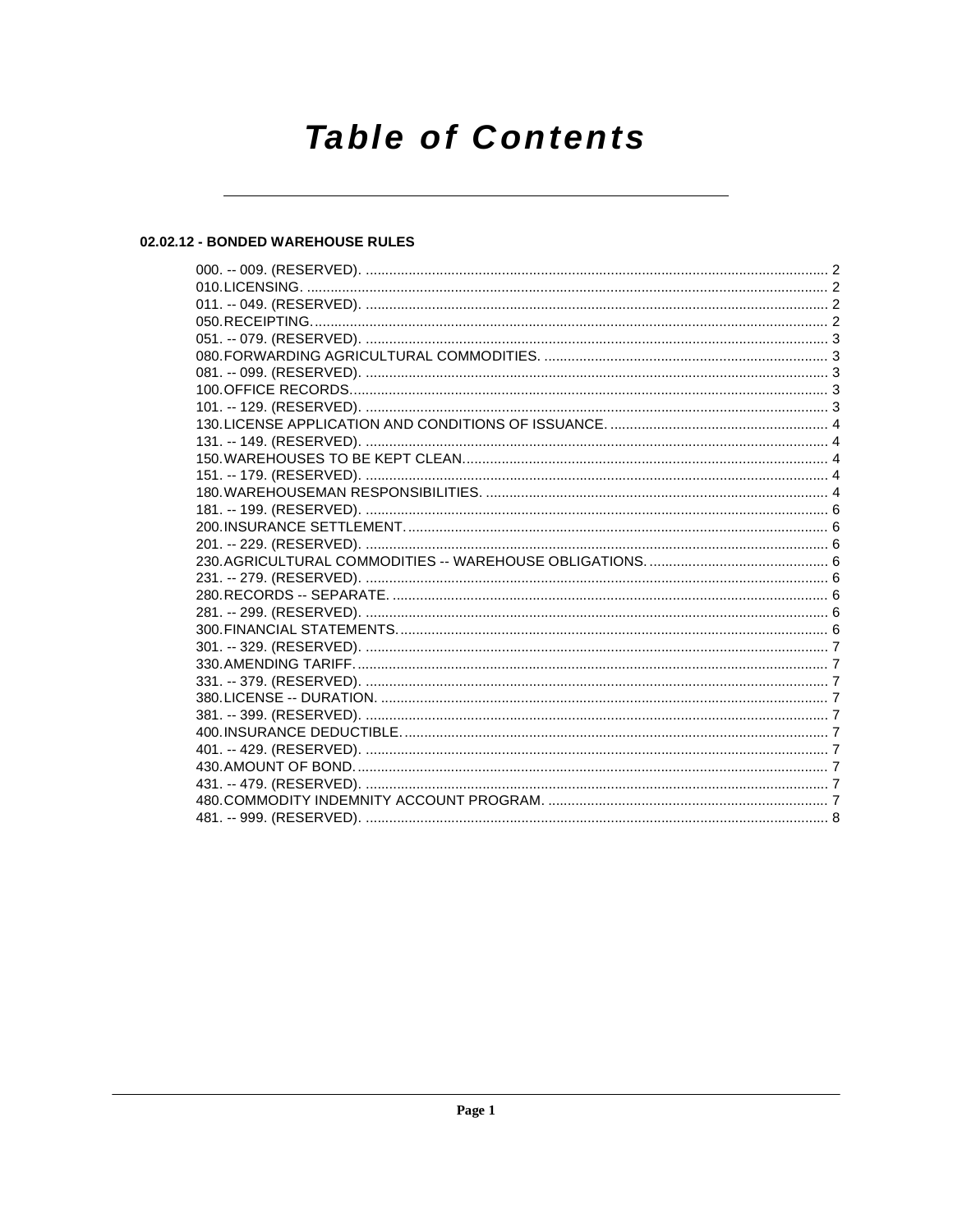# **Table of Contents**

# 02.02.12 - BONDED WAREHOUSE RULES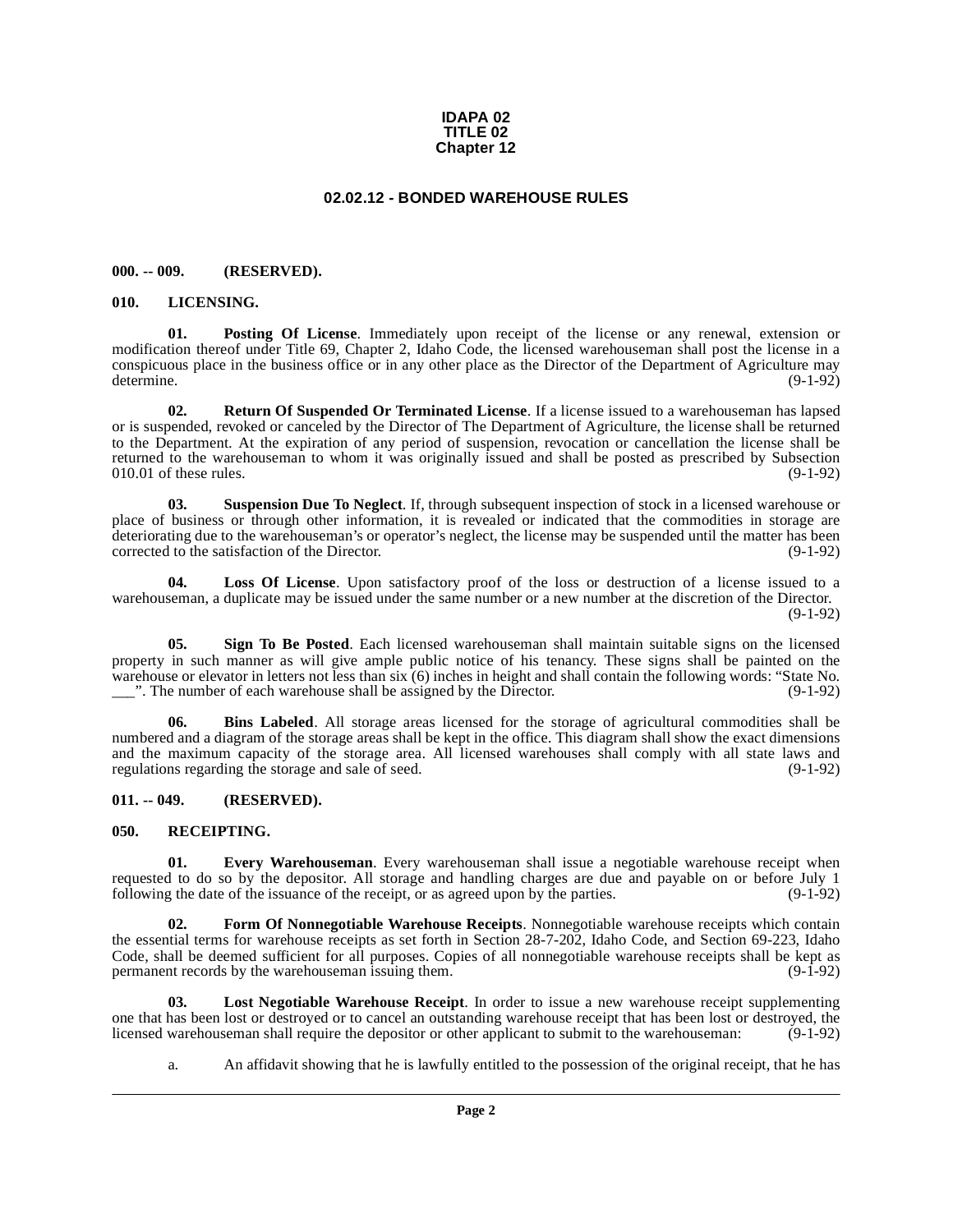#### **IDAPA 02 TITLE 02 Chapter 12**

## **02.02.12 - BONDED WAREHOUSE RULES**

#### <span id="page-1-1"></span><span id="page-1-0"></span>**000. -- 009. (RESERVED).**

#### <span id="page-1-8"></span><span id="page-1-2"></span>**010. LICENSING.**

<span id="page-1-11"></span>**01. Posting Of License**. Immediately upon receipt of the license or any renewal, extension or modification thereof under Title 69, Chapter 2, Idaho Code, the licensed warehouseman shall post the license in a conspicuous place in the business office or in any other place as the Director of the Department of Agriculture may determine. (9-1-92)

<span id="page-1-13"></span>**02. Return Of Suspended Or Terminated License**. If a license issued to a warehouseman has lapsed or is suspended, revoked or canceled by the Director of The Department of Agriculture, the license shall be returned to the Department. At the expiration of any period of suspension, revocation or cancellation the license shall be returned to the warehouseman to whom it was originally issued and shall be posted as prescribed by Subsection 010.01 of these rules.  $010.01$  of these rules.

<span id="page-1-15"></span>**03. Suspension Due To Neglect**. If, through subsequent inspection of stock in a licensed warehouse or place of business or through other information, it is revealed or indicated that the commodities in storage are deteriorating due to the warehouseman's or operator's neglect, the license may be suspended until the matter has been<br>corrected to the satisfaction of the Director. (9-1-92) corrected to the satisfaction of the Director.

<span id="page-1-9"></span>**04. Loss Of License**. Upon satisfactory proof of the loss or destruction of a license issued to a warehouseman, a duplicate may be issued under the same number or a new number at the discretion of the Director. (9-1-92)

<span id="page-1-14"></span>**05. Sign To Be Posted**. Each licensed warehouseman shall maintain suitable signs on the licensed property in such manner as will give ample public notice of his tenancy. These signs shall be painted on the warehouse or elevator in letters not less than six (6) inches in height and shall contain the following words: "State No.<br>The number of each warehouse shall be assigned by the Director. (9-1-92). \_\_\_". The number of each warehouse shall be assigned by the Director. (9-1-92)

<span id="page-1-5"></span>**06. Bins Labeled**. All storage areas licensed for the storage of agricultural commodities shall be numbered and a diagram of the storage areas shall be kept in the office. This diagram shall show the exact dimensions and the maximum capacity of the storage area. All licensed warehouses shall comply with all state laws and regulations regarding the storage and sale of seed. regulations regarding the storage and sale of seed.

#### <span id="page-1-3"></span>**011. -- 049. (RESERVED).**

#### <span id="page-1-12"></span><span id="page-1-4"></span>**050. RECEIPTING.**

<span id="page-1-6"></span>**01. Every Warehouseman**. Every warehouseman shall issue a negotiable warehouse receipt when requested to do so by the depositor. All storage and handling charges are due and payable on or before July 1 following the date of the issuance of the receipt, or as agreed upon by the parties.

<span id="page-1-7"></span>**02. Form Of Nonnegotiable Warehouse Receipts**. Nonnegotiable warehouse receipts which contain the essential terms for warehouse receipts as set forth in Section 28-7-202, Idaho Code, and Section 69-223, Idaho Code, shall be deemed sufficient for all purposes. Copies of all nonnegotiable warehouse receipts shall be kept as permanent records by the warehouseman issuing them. (9-1-92)

**03. Lost Negotiable Warehouse Receipt**. In order to issue a new warehouse receipt supplementing one that has been lost or destroyed or to cancel an outstanding warehouse receipt that has been lost or destroyed, the licensed warehouseman shall require the depositor or other applicant to submit to the warehouseman: (9-1-92)

<span id="page-1-10"></span>a. An affidavit showing that he is lawfully entitled to the possession of the original receipt, that he has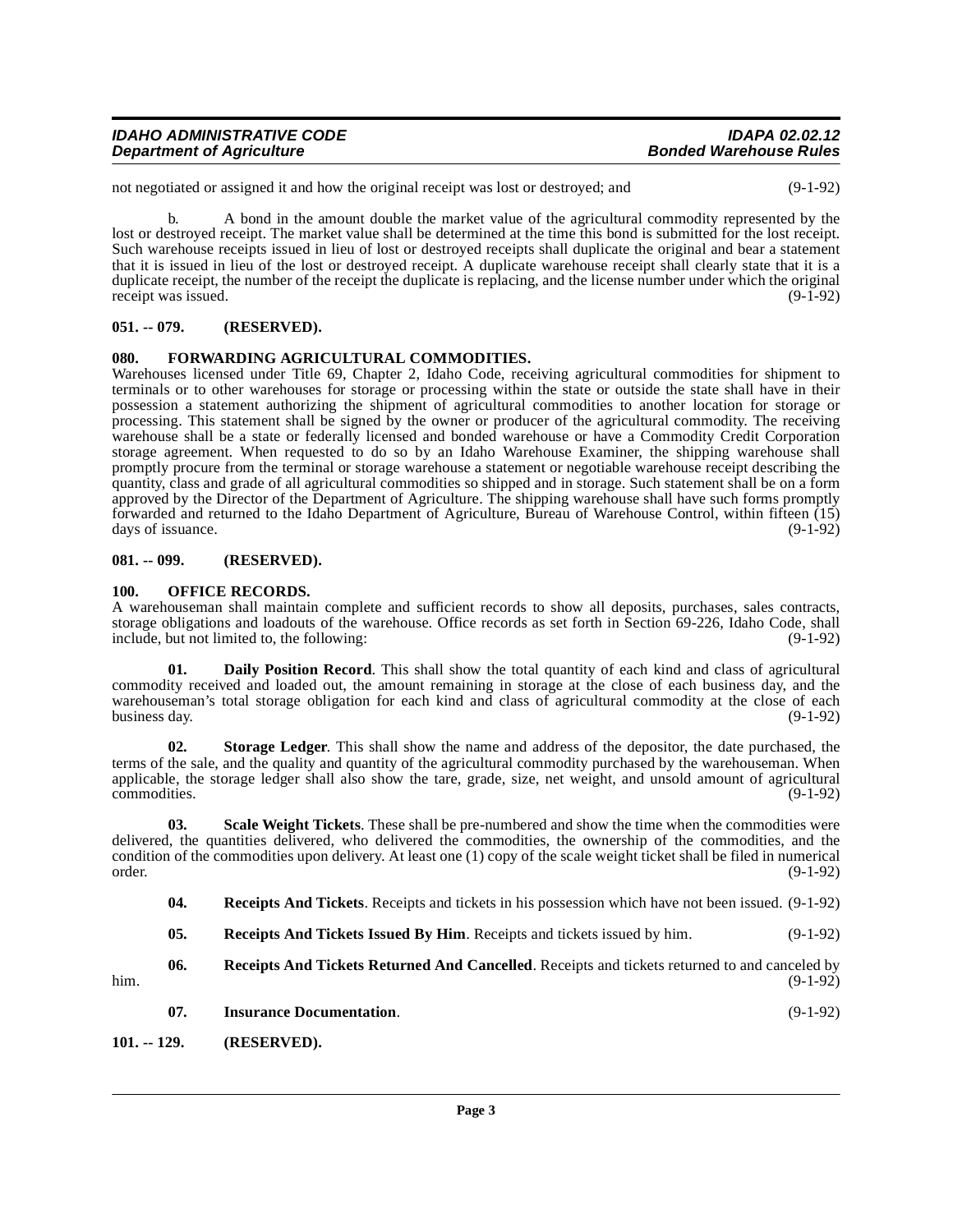| <b>IDAHO ADMINISTRATIVE CODE</b> | <b>IDAPA 02.02.12</b>         |
|----------------------------------|-------------------------------|
| <b>Department of Agriculture</b> | <b>Bonded Warehouse Rules</b> |

not negotiated or assigned it and how the original receipt was lost or destroyed; and (9-1-92)

b. A bond in the amount double the market value of the agricultural commodity represented by the lost or destroyed receipt. The market value shall be determined at the time this bond is submitted for the lost receipt. Such warehouse receipts issued in lieu of lost or destroyed receipts shall duplicate the original and bear a statement that it is issued in lieu of the lost or destroyed receipt. A duplicate warehouse receipt shall clearly state that it is a duplicate receipt, the number of the receipt the duplicate is replacing, and the license number under which the original receipt was issued. (9-1-92)

## <span id="page-2-0"></span>**051. -- 079. (RESERVED).**

#### <span id="page-2-6"></span><span id="page-2-1"></span>**080. FORWARDING AGRICULTURAL COMMODITIES.**

Warehouses licensed under Title 69, Chapter 2, Idaho Code, receiving agricultural commodities for shipment to terminals or to other warehouses for storage or processing within the state or outside the state shall have in their possession a statement authorizing the shipment of agricultural commodities to another location for storage or processing. This statement shall be signed by the owner or producer of the agricultural commodity. The receiving warehouse shall be a state or federally licensed and bonded warehouse or have a Commodity Credit Corporation storage agreement. When requested to do so by an Idaho Warehouse Examiner, the shipping warehouse shall promptly procure from the terminal or storage warehouse a statement or negotiable warehouse receipt describing the quantity, class and grade of all agricultural commodities so shipped and in storage. Such statement shall be on a form approved by the Director of the Department of Agriculture. The shipping warehouse shall have such forms promptly forwarded and returned to the Idaho Department of Agriculture, Bureau of Warehouse Control, within fifteen (15) days of issuance.

#### <span id="page-2-2"></span>**081. -- 099. (RESERVED).**

#### <span id="page-2-8"></span><span id="page-2-3"></span>**100. OFFICE RECORDS.**

A warehouseman shall maintain complete and sufficient records to show all deposits, purchases, sales contracts, storage obligations and loadouts of the warehouse. Office records as set forth in Section 69-226, Idaho Code, shall<br>include, but not limited to, the following: include, but not limited to, the following:

<span id="page-2-5"></span>**01. Daily Position Record**. This shall show the total quantity of each kind and class of agricultural commodity received and loaded out, the amount remaining in storage at the close of each business day, and the warehouseman's total storage obligation for each kind and class of agricultural commodity at the close of each<br>business day. (9-1-92) business day. (9-1-92)

<span id="page-2-13"></span>**02. Storage Ledger**. This shall show the name and address of the depositor, the date purchased, the terms of the sale, and the quality and quantity of the agricultural commodity purchased by the warehouseman. When applicable, the storage ledger shall also show the tare, grade, size, net weight, and unsold amount of agricultural commodities. commodities.

**03. Scale Weight Tickets**. These shall be pre-numbered and show the time when the commodities were delivered, the quantities delivered, who delivered the commodities, the ownership of the commodities, and the condition of the commodities upon delivery. At least one (1) copy of the scale weight ticket shall be filed in numerical order. (9-1-92)

<span id="page-2-12"></span><span id="page-2-9"></span>**04. Receipts And Tickets**. Receipts and tickets in his possession which have not been issued. (9-1-92)

<span id="page-2-11"></span><span id="page-2-10"></span><span id="page-2-7"></span>**05.** Receipts And Tickets Issued By Him. Receipts and tickets issued by him. (9-1-92)

**06. Receipts And Tickets Returned And Cancelled**. Receipts and tickets returned to and canceled by him. (9-1-92)

**07. Insurance Documentation**. (9-1-92)

<span id="page-2-4"></span>**101. -- 129. (RESERVED).**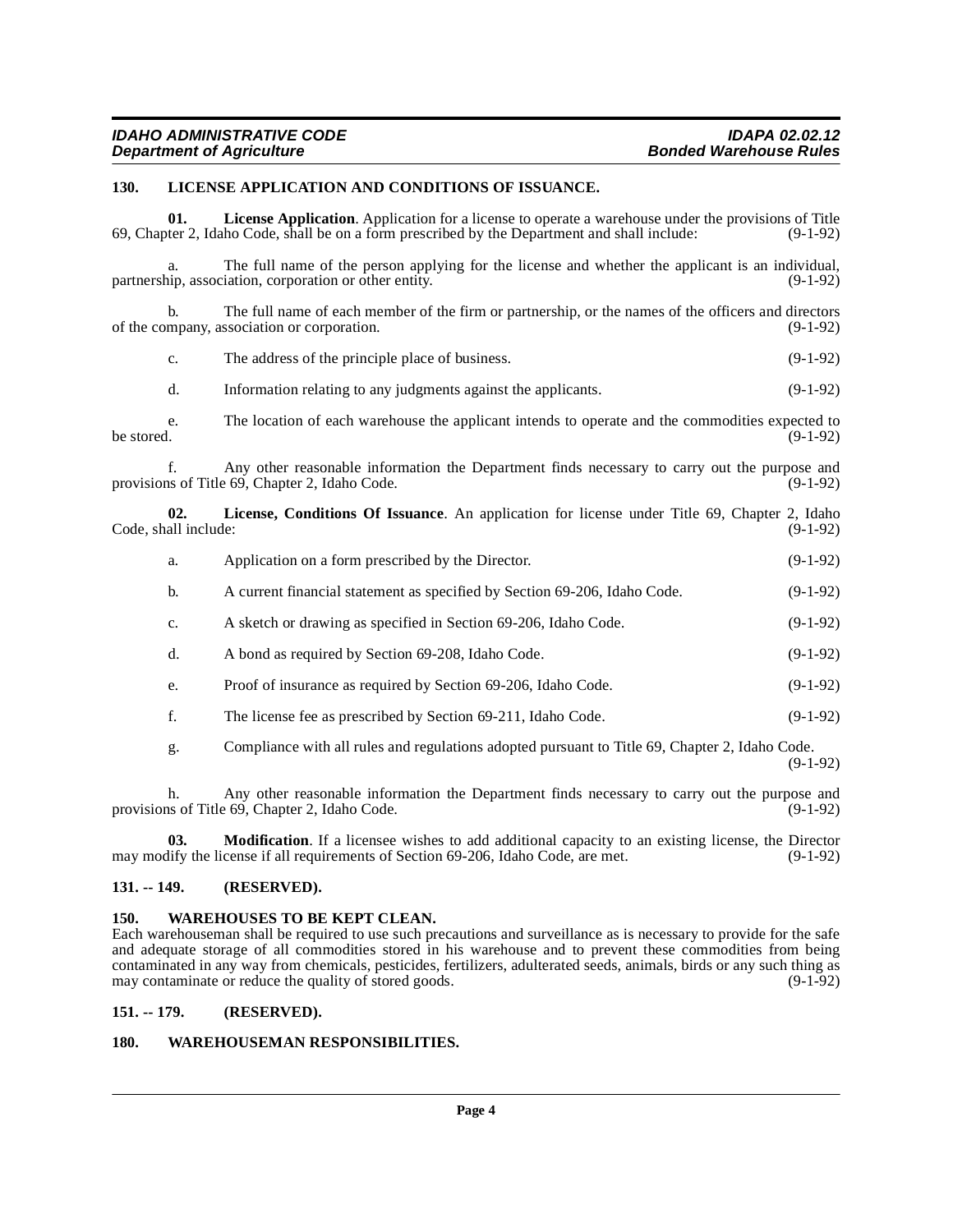#### <span id="page-3-5"></span><span id="page-3-0"></span>**130. LICENSE APPLICATION AND CONDITIONS OF ISSUANCE.**

<span id="page-3-6"></span>**01. License Application**. Application for a license to operate a warehouse under the provisions of Title 69, Chapter 2, Idaho Code, shall be on a form prescribed by the Department and shall include: (9-1-92)

a. The full name of the person applying for the license and whether the applicant is an individual, in association, corporation or other entity. (9-1-92) partnership, association, corporation or other entity.

b. The full name of each member of the firm or partnership, or the names of the officers and directors of the company, association or corporation. (9-1-92)

<span id="page-3-7"></span>

|            | c.                          | The address of the principle place of business.                                                                                                | $(9-1-92)$ |
|------------|-----------------------------|------------------------------------------------------------------------------------------------------------------------------------------------|------------|
|            | d.                          | Information relating to any judgments against the applicants.                                                                                  | $(9-1-92)$ |
| be stored. | e.                          | The location of each warehouse the applicant intends to operate and the commodities expected to                                                | $(9-1-92)$ |
|            | $f_{\perp}$                 | Any other reasonable information the Department finds necessary to carry out the purpose and<br>provisions of Title 69, Chapter 2, Idaho Code. | $(9-1-92)$ |
|            | 02.<br>Code, shall include: | License, Conditions Of Issuance. An application for license under Title 69, Chapter 2, Idaho                                                   | $(9-1-92)$ |
|            | a.                          | Application on a form prescribed by the Director.                                                                                              | $(9-1-92)$ |
|            | b.                          | A current financial statement as specified by Section 69-206, Idaho Code.                                                                      | $(9-1-92)$ |
|            | c.                          | A sketch or drawing as specified in Section 69-206, Idaho Code.                                                                                | $(9-1-92)$ |
|            | d.                          | A bond as required by Section 69-208, Idaho Code.                                                                                              | $(9-1-92)$ |
|            | e.                          | Proof of insurance as required by Section 69-206, Idaho Code.                                                                                  | $(9-1-92)$ |
|            | f.                          | The license fee as prescribed by Section 69-211, Idaho Code.                                                                                   | $(9-1-92)$ |
|            | g.                          | Compliance with all rules and regulations adopted pursuant to Title 69, Chapter 2, Idaho Code.                                                 | $(9-1-92)$ |
|            |                             |                                                                                                                                                |            |

h. Any other reasonable information the Department finds necessary to carry out the purpose and ns of Title 69, Chapter 2, Idaho Code. (9-1-92) provisions of Title  $69$ , Chapter 2, Idaho Code.

<span id="page-3-8"></span>**03. Modification**. If a licensee wishes to add additional capacity to an existing license, the Director dify the license if all requirements of Section 69-206, Idaho Code, are met. (9-1-92) may modify the license if all requirements of Section 69-206, Idaho Code, are met.

#### <span id="page-3-1"></span>**131. -- 149. (RESERVED).**

### <span id="page-3-10"></span><span id="page-3-2"></span>**150. WAREHOUSES TO BE KEPT CLEAN.**

Each warehouseman shall be required to use such precautions and surveillance as is necessary to provide for the safe and adequate storage of all commodities stored in his warehouse and to prevent these commodities from being contaminated in any way from chemicals, pesticides, fertilizers, adulterated seeds, animals, birds or any such thing as may contaminate or reduce the quality of stored goods. (9-1-92)

## <span id="page-3-3"></span>**151. -- 179. (RESERVED).**

#### <span id="page-3-9"></span><span id="page-3-4"></span>**180. WAREHOUSEMAN RESPONSIBILITIES.**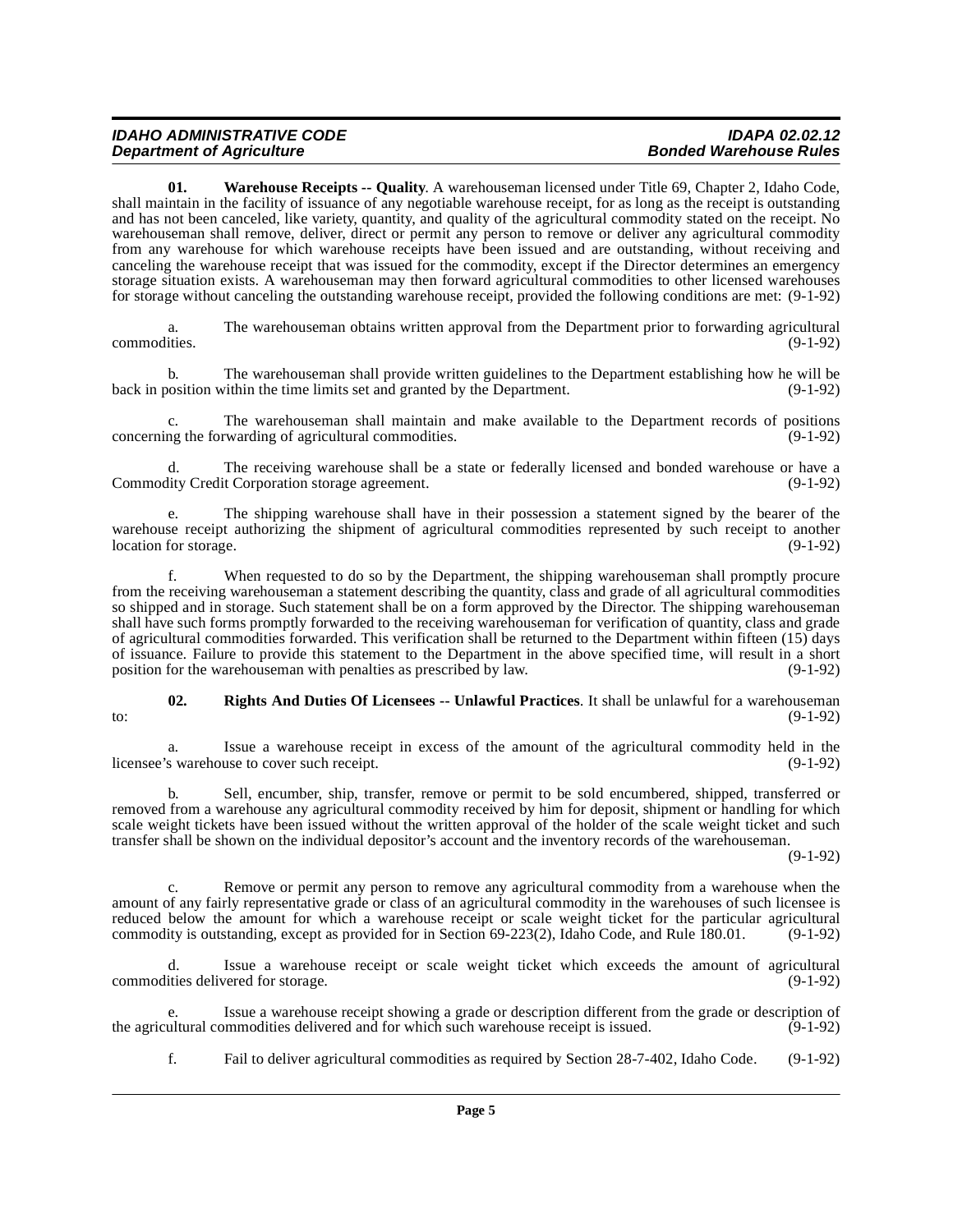## **IDAHO ADMINISTRATIVE CODE IDAPA 02.02.12 Department of Agriculture**

<span id="page-4-1"></span>**01. Warehouse Receipts -- Quality**. A warehouseman licensed under Title 69, Chapter 2, Idaho Code, shall maintain in the facility of issuance of any negotiable warehouse receipt, for as long as the receipt is outstanding and has not been canceled, like variety, quantity, and quality of the agricultural commodity stated on the receipt. No warehouseman shall remove, deliver, direct or permit any person to remove or deliver any agricultural commodity from any warehouse for which warehouse receipts have been issued and are outstanding, without receiving and canceling the warehouse receipt that was issued for the commodity, except if the Director determines an emergency storage situation exists. A warehouseman may then forward agricultural commodities to other licensed warehouses for storage without canceling the outstanding warehouse receipt, provided the following conditions are met: (9-1-92)

a. The warehouseman obtains written approval from the Department prior to forwarding agricultural commodities. (9-1-92) commodities. (9-1-92)

b. The warehouseman shall provide written guidelines to the Department establishing how he will be back in position within the time limits set and granted by the Department. (9-1-92)

The warehouseman shall maintain and make available to the Department records of positions rwarding of agricultural commodities. (9-1-92) concerning the forwarding of agricultural commodities.

d. The receiving warehouse shall be a state or federally licensed and bonded warehouse or have a Commodity Credit Corporation storage agreement. (9-1-92)

e. The shipping warehouse shall have in their possession a statement signed by the bearer of the warehouse receipt authorizing the shipment of agricultural commodities represented by such receipt to another location for storage. (9-1-92)

f. When requested to do so by the Department, the shipping warehouseman shall promptly procure from the receiving warehouseman a statement describing the quantity, class and grade of all agricultural commodities so shipped and in storage. Such statement shall be on a form approved by the Director. The shipping warehouseman shall have such forms promptly forwarded to the receiving warehouseman for verification of quantity, class and grade of agricultural commodities forwarded. This verification shall be returned to the Department within fifteen (15) days of issuance. Failure to provide this statement to the Department in the above specified time, will result in a short position for the warehouseman with penalties as prescribed by law. (9-1-92)

#### <span id="page-4-0"></span>**02.** Rights And Duties Of Licensees -- Unlawful Practices. It shall be unlawful for a warehouseman (9-1-92) to:  $(9-1-92)$

a. Issue a warehouse receipt in excess of the amount of the agricultural commodity held in the licensee's warehouse to cover such receipt. (9-1-92)

b. Sell, encumber, ship, transfer, remove or permit to be sold encumbered, shipped, transferred or removed from a warehouse any agricultural commodity received by him for deposit, shipment or handling for which scale weight tickets have been issued without the written approval of the holder of the scale weight ticket and such transfer shall be shown on the individual depositor's account and the inventory records of the warehouseman.

(9-1-92)

Remove or permit any person to remove any agricultural commodity from a warehouse when the amount of any fairly representative grade or class of an agricultural commodity in the warehouses of such licensee is reduced below the amount for which a warehouse receipt or scale weight ticket for the particular agricultural commodity is outstanding, except as provided for in Section 69-223(2), Idaho Code, and Rule 180.01.  $(9-1-92)$ 

d. Issue a warehouse receipt or scale weight ticket which exceeds the amount of agricultural commodities delivered for storage. (9-1-92)

e. Issue a warehouse receipt showing a grade or description different from the grade or description of the agricultural commodities delivered and for which such warehouse receipt is issued.

f. Fail to deliver agricultural commodities as required by Section 28-7-402, Idaho Code. (9-1-92)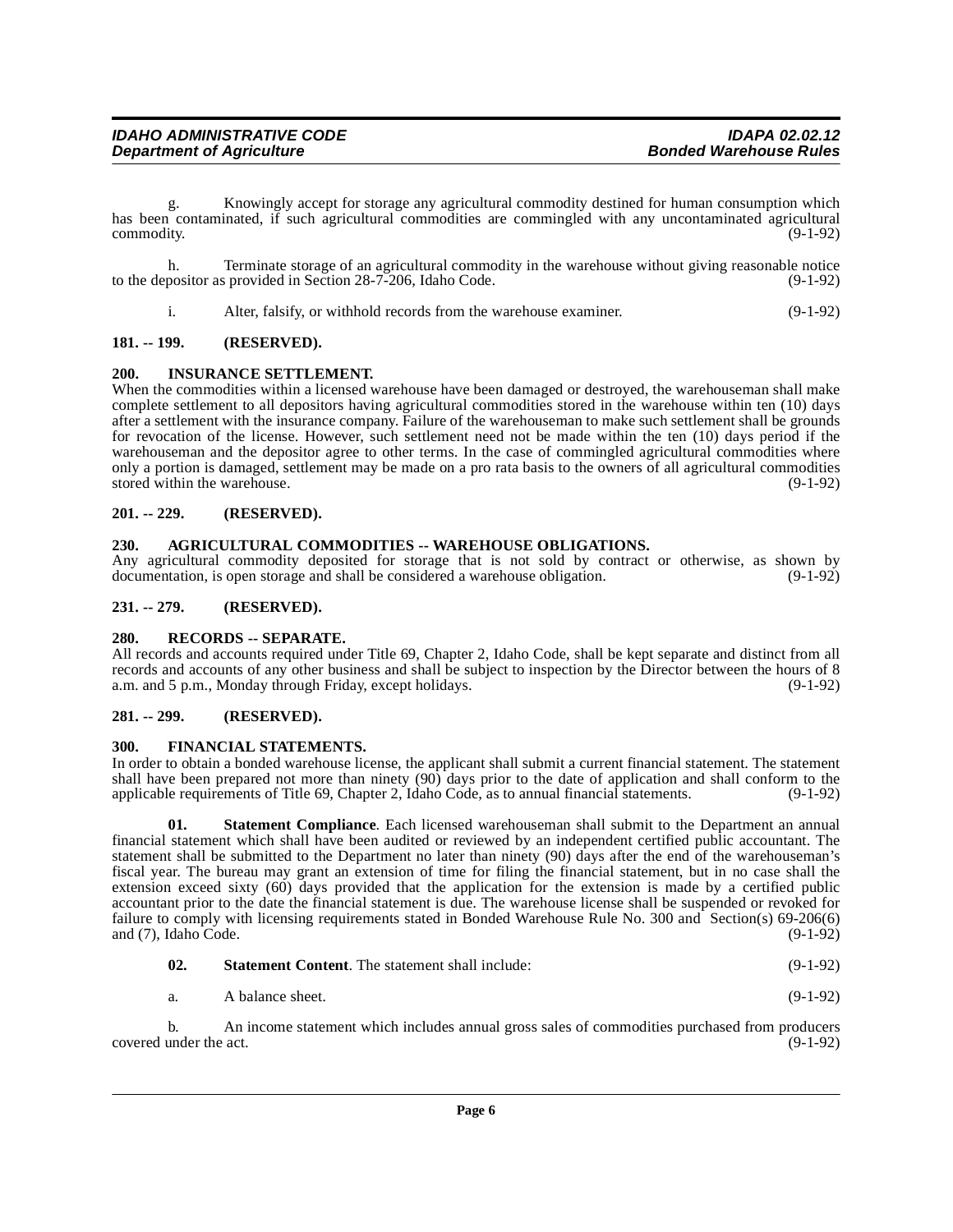g. Knowingly accept for storage any agricultural commodity destined for human consumption which has been contaminated, if such agricultural commodities are commingled with any uncontaminated agricultural commodity. (9-1-92) commodity. (9-1-92)

h. Terminate storage of an agricultural commodity in the warehouse without giving reasonable notice positor as provided in Section 28-7-206, Idaho Code. (9-1-92) to the depositor as provided in Section 28-7-206, Idaho Code.

<span id="page-5-10"></span>i. Alter, falsify, or withhold records from the warehouse examiner. (9-1-92)

## <span id="page-5-0"></span>**181. -- 199. (RESERVED).**

#### <span id="page-5-1"></span>**200. INSURANCE SETTLEMENT.**

When the commodities within a licensed warehouse have been damaged or destroyed, the warehouseman shall make complete settlement to all depositors having agricultural commodities stored in the warehouse within ten (10) days after a settlement with the insurance company. Failure of the warehouseman to make such settlement shall be grounds for revocation of the license. However, such settlement need not be made within the ten (10) days period if the warehouseman and the depositor agree to other terms. In the case of commingled agricultural commodities where only a portion is damaged, settlement may be made on a pro rata basis to the owners of all agricultural commodities stored within the warehouse. (9-1-92)

#### <span id="page-5-2"></span>**201. -- 229. (RESERVED).**

#### <span id="page-5-8"></span><span id="page-5-3"></span>**230. AGRICULTURAL COMMODITIES -- WAREHOUSE OBLIGATIONS.**

Any agricultural commodity deposited for storage that is not sold by contract or otherwise, as shown by documentation, is open storage and shall be considered a warehouse obligation. (9-1-92) documentation, is open storage and shall be considered a warehouse obligation.

## <span id="page-5-4"></span>**231. -- 279. (RESERVED).**

## <span id="page-5-11"></span><span id="page-5-5"></span>**280. RECORDS -- SEPARATE.**

All records and accounts required under Title 69, Chapter 2, Idaho Code, shall be kept separate and distinct from all records and accounts of any other business and shall be subject to inspection by the Director between the hours of 8 a.m. and 5 p.m., Monday through Friday, except holidays. (9-1-92) a.m. and 5 p.m., Monday through Friday, except holidays.

## <span id="page-5-6"></span>**281. -- 299. (RESERVED).**

#### <span id="page-5-9"></span><span id="page-5-7"></span>**300. FINANCIAL STATEMENTS.**

In order to obtain a bonded warehouse license, the applicant shall submit a current financial statement. The statement shall have been prepared not more than ninety  $(90)$  days prior to the date of application and shall conform to the applicable requirements of Title 69. Chapter 2. Idaho Code, as to annual financial statements.  $(9-1-92)$ applicable requirements of Title 69, Chapter 2, Idaho Code, as to annual financial statements.

<span id="page-5-12"></span>**01. Statement Compliance**. Each licensed warehouseman shall submit to the Department an annual financial statement which shall have been audited or reviewed by an independent certified public accountant. The statement shall be submitted to the Department no later than ninety (90) days after the end of the warehouseman's fiscal year. The bureau may grant an extension of time for filing the financial statement, but in no case shall the extension exceed sixty (60) days provided that the application for the extension is made by a certified public accountant prior to the date the financial statement is due. The warehouse license shall be suspended or revoked for failure to comply with licensing requirements stated in Bonded Warehouse Rule No. 300 and Section(s) 69-206(6) and  $(7)$ , Idaho Code.  $(9-1-92)$ 

<span id="page-5-13"></span>

| 02.<br><b>Statement Content.</b> The statement shall include: | $(9-1-92)$ |
|---------------------------------------------------------------|------------|
|---------------------------------------------------------------|------------|

$$
a. \qquad A balance sheet. \tag{9-1-92}
$$

b. An income statement which includes annual gross sales of commodities purchased from producers under the act. (9-1-92) covered under the act.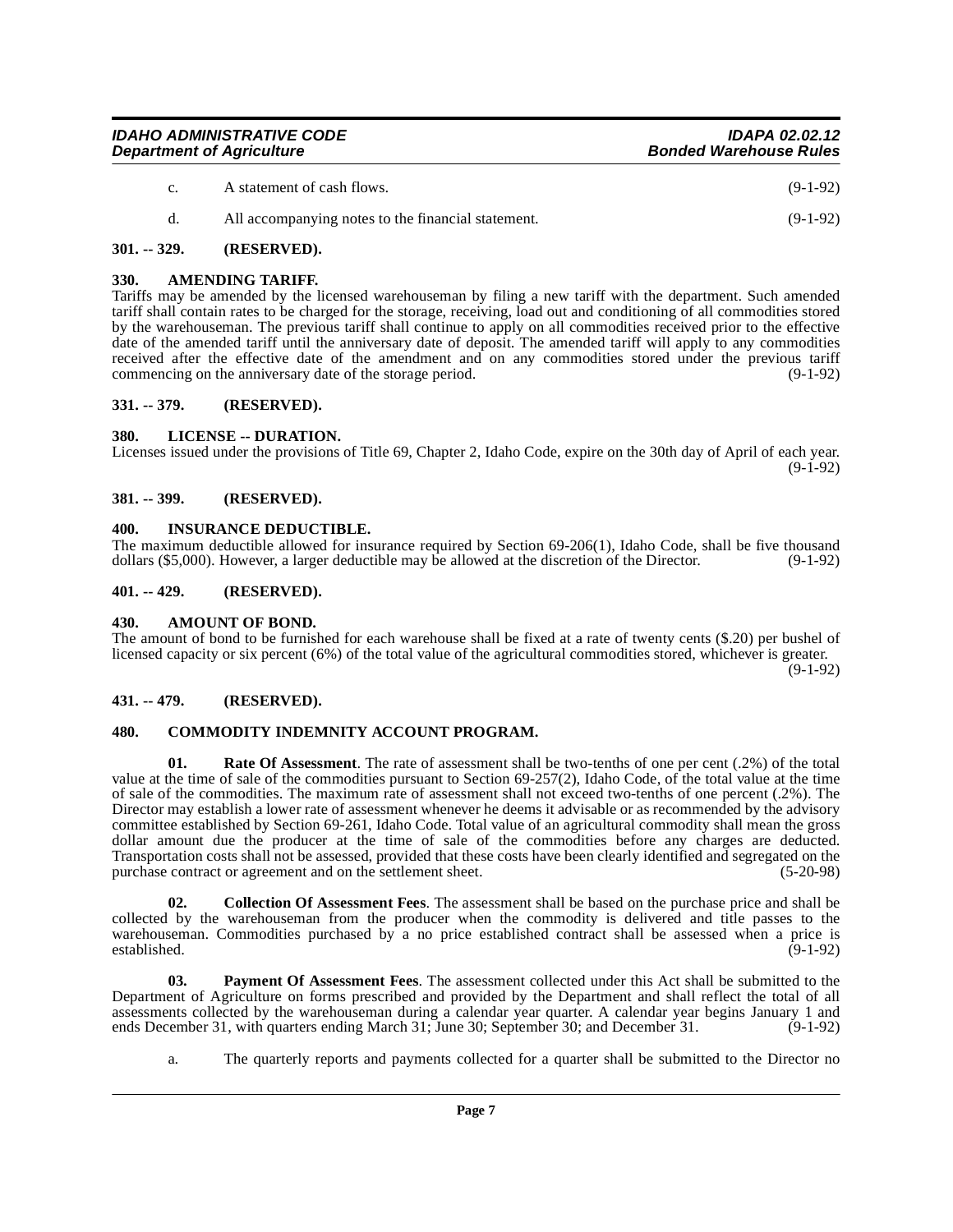| <b>Department of Agriculture</b> | <b>IDAHO ADMINISTRATIVE CODE</b> | <b>IDAPA 02.02.12</b>         |
|----------------------------------|----------------------------------|-------------------------------|
|                                  |                                  | <b>Bonded Warehouse Rules</b> |

| $\mathbf{c}$ . | A statement of cash flows.                         | $(9-1-92)$ |
|----------------|----------------------------------------------------|------------|
|                | All accompanying notes to the financial statement. | $(9-1-92)$ |

## <span id="page-6-0"></span>**301. -- 329. (RESERVED).**

#### <span id="page-6-10"></span><span id="page-6-1"></span>**330. AMENDING TARIFF.**

Tariffs may be amended by the licensed warehouseman by filing a new tariff with the department. Such amended tariff shall contain rates to be charged for the storage, receiving, load out and conditioning of all commodities stored by the warehouseman. The previous tariff shall continue to apply on all commodities received prior to the effective date of the amended tariff until the anniversary date of deposit. The amended tariff will apply to any commodities received after the effective date of the amendment and on any commodities stored under the previous tariff commencing on the anniversary date of the storage period. (9-1-92) commencing on the anniversary date of the storage period.

#### <span id="page-6-2"></span>**331. -- 379. (RESERVED).**

#### <span id="page-6-15"></span><span id="page-6-3"></span>**380. LICENSE -- DURATION.**

Licenses issued under the provisions of Title 69, Chapter 2, Idaho Code, expire on the 30th day of April of each year.  $(9-1-92)$ 

## <span id="page-6-4"></span>**381. -- 399. (RESERVED).**

#### <span id="page-6-14"></span><span id="page-6-5"></span>**400. INSURANCE DEDUCTIBLE.**

The maximum deductible allowed for insurance required by Section 69-206(1), Idaho Code, shall be five thousand dollars (\$5,000). However, a larger deductible may be allowed at the discretion of the Director. (9-1-92)

#### <span id="page-6-6"></span>**401. -- 429. (RESERVED).**

#### <span id="page-6-11"></span><span id="page-6-7"></span>**430. AMOUNT OF BOND.**

The amount of bond to be furnished for each warehouse shall be fixed at a rate of twenty cents (\$.20) per bushel of licensed capacity or six percent (6%) of the total value of the agricultural commodities stored, whichever is greater. (9-1-92)

#### <span id="page-6-8"></span>**431. -- 479. (RESERVED).**

#### <span id="page-6-13"></span><span id="page-6-9"></span>**480. COMMODITY INDEMNITY ACCOUNT PROGRAM.**

<span id="page-6-17"></span>**01.** Rate Of Assessment. The rate of assessment shall be two-tenths of one per cent (.2%) of the total value at the time of sale of the commodities pursuant to Section 69-257(2), Idaho Code, of the total value at the time of sale of the commodities. The maximum rate of assessment shall not exceed two-tenths of one percent (.2%). The Director may establish a lower rate of assessment whenever he deems it advisable or as recommended by the advisory committee established by Section 69-261, Idaho Code. Total value of an agricultural commodity shall mean the gross dollar amount due the producer at the time of sale of the commodities before any charges are deducted. Transportation costs shall not be assessed, provided that these costs have been clearly identified and segregated on the purchase contract or agreement and on the settlement sheet. (5-20-98) purchase contract or agreement and on the settlement sheet.

<span id="page-6-12"></span>**02. Collection Of Assessment Fees**. The assessment shall be based on the purchase price and shall be collected by the warehouseman from the producer when the commodity is delivered and title passes to the warehouseman. Commodities purchased by a no price established contract shall be assessed when a price is established. (9-1-92) established. (9-1-92)

**03. Payment Of Assessment Fees**. The assessment collected under this Act shall be submitted to the Department of Agriculture on forms prescribed and provided by the Department and shall reflect the total of all assessments collected by the warehouseman during a calendar year quarter. A calendar year begins January 1 and ends December 31, with quarters ending March 31; June 30; September 30; and December 31. (9-1-92) ends December 31, with quarters ending March 31; June 30; September 30; and December 31.

<span id="page-6-16"></span>a. The quarterly reports and payments collected for a quarter shall be submitted to the Director no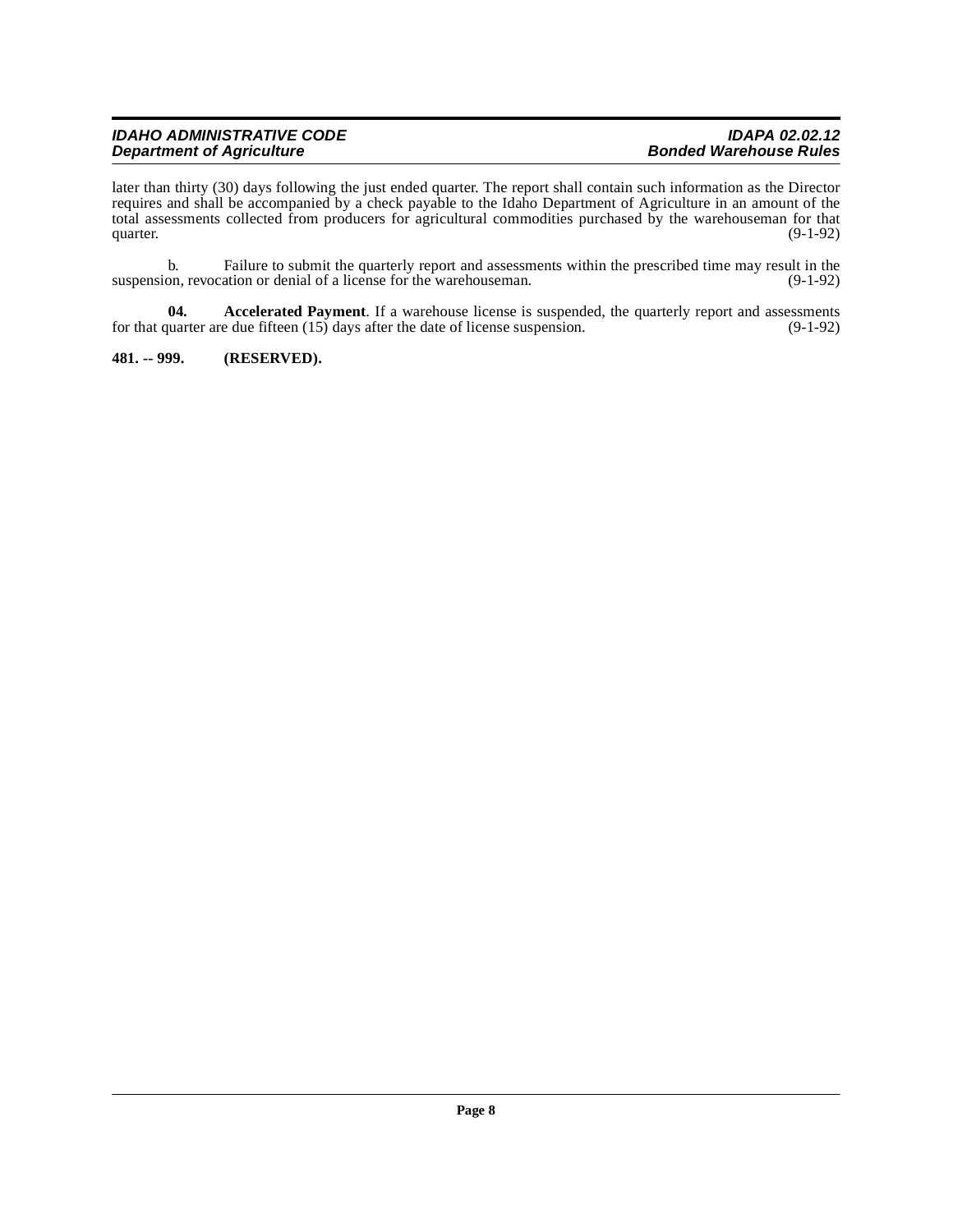| <b>IDAHO ADMINISTRATIVE CODE</b> | <b>IDAPA 02.02.12</b>         |
|----------------------------------|-------------------------------|
| <b>Department of Agriculture</b> | <b>Bonded Warehouse Rules</b> |

later than thirty (30) days following the just ended quarter. The report shall contain such information as the Director requires and shall be accompanied by a check payable to the Idaho Department of Agriculture in an amount of the total assessments collected from producers for agricultural commodities purchased by the warehouseman for that quarter.  $(9-1-92)$ 

b. Failure to submit the quarterly report and assessments within the prescribed time may result in the on, revocation or denial of a license for the warehouse man. (9-1-92) suspension, revocation or denial of a license for the warehouseman.

<span id="page-7-1"></span>**04.** Accelerated Payment. If a warehouse license is suspended, the quarterly report and assessments quarter are due fifteen (15) days after the date of license suspension. (9-1-92) for that quarter are due fifteen  $(15)$  days after the date of license suspension.

<span id="page-7-0"></span>**481. -- 999. (RESERVED).**